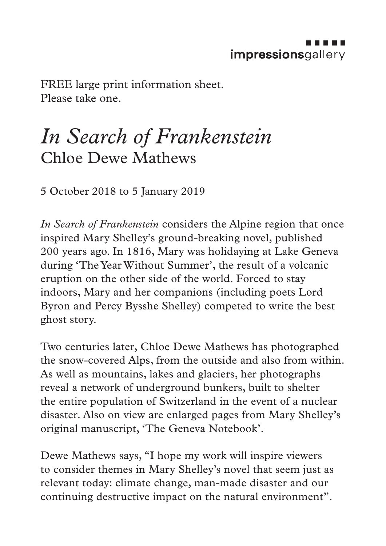FREE large print information sheet. Please take one.

## *In Search of Frankenstein* Chloe Dewe Mathews

5 October 2018 to 5 January 2019

*In Search of Frankenstein* considers the Alpine region that once inspired Mary Shelley's ground-breaking novel, published 200 years ago. In 1816, Mary was holidaying at Lake Geneva during 'The Year Without Summer', the result of a volcanic eruption on the other side of the world. Forced to stay indoors, Mary and her companions (including poets Lord Byron and Percy Bysshe Shelley) competed to write the best ghost story.

Two centuries later, Chloe Dewe Mathews has photographed the snow-covered Alps, from the outside and also from within. As well as mountains, lakes and glaciers, her photographs reveal a network of underground bunkers, built to shelter the entire population of Switzerland in the event of a nuclear disaster. Also on view are enlarged pages from Mary Shelley's original manuscript, 'The Geneva Notebook'.

Dewe Mathews says, "I hope my work will inspire viewers to consider themes in Mary Shelley's novel that seem just as relevant today: climate change, man-made disaster and our continuing destructive impact on the natural environment".